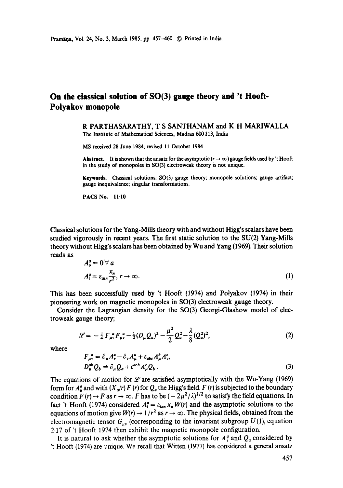## **On the classical solution of SO(3) gauge theory and 't Hooft-Polyakov monopole**

R PARTHASARATHY, T S SANTHANAM and K H MARIWALLA The Institute of Mathematical Sciences, Madras 600113, India

MS received 28 June 1984; revised 11 October 1984

Abstract. It is shown that the ansatz for the asymptotic  $(r \to \infty)$  gauge fields used by 't Hooft in the study of monopoles in SO(3) electroweak theory is not unique.

Keywords. Classical solutions; SO(3) gauge theory; monopole solutions; gauge artifact; gauge inequivalence; singular transformations.

PACS No. 11-10

Classical solutions for the Yang-Mills theory with and without Higg's scalars have been studied vigorously in recent years. The first static solution to the SU(2) Yang-Mills theory without Higg's scalars has been obtained by Wu and Yang (1969). Their solution reads as  $\sim$   $\sim$ 

$$
A_o^a = 0 \,\forall \, a
$$
  

$$
A_i^a = \varepsilon_{ain} \frac{x_n}{r^2}, \, r \to \infty.
$$
 (1)

This has been successfully used by 't Hooft (1974) and Potyakov (1974) in their pioneering work on magnetic monopoles in SO(3) electroweak gauge theory.

Consider the Lagrangian density for the SO(3) Georgi-Glashow model of electroweak gauge theory;

$$
\mathcal{L} = -\frac{1}{4} F_{\mu\nu}^{\ a} F_{\mu\nu}^{\ a} - \frac{1}{2} (D_{\mu} Q_{a})^{2} - \frac{\mu^{2}}{2} Q_{a}^{2} - \frac{\lambda}{8} (Q_{a}^{2})^{2}, \tag{2}
$$

where

$$
F_{\mu\nu}^{\ a} = \partial_{\mu}A_{\nu}^{a} - \partial_{\nu}A_{\mu}^{a} + \varepsilon_{abc}A_{\mu}^{b}A_{\nu}^{c},
$$
  
\n
$$
D_{\mu}^{ab}Q_{b} = \partial_{\mu}Q_{a} + \varepsilon^{acb}A_{\mu}^{c}Q_{b}.
$$
\n(3)

The equations of motion for  $\mathscr L$  are satisfied asymptotically with the Wu-Yang (1969) form for  $A^a_\mu$  and with  $(X_a/r) F(r)$  for  $Q_a$  the Higg's field. F (r) is subjected to the boundary condition  $F(r) \to F$  as  $r \to \infty$ . F has to be  $(-2\mu^2/\lambda)^{1/2}$  to satisfy the field equations. In fact 't Hooft (1974) considered  $A_i^a = \varepsilon_{tan} x_n W(r)$  and the asymptotic solutions to the equations of motion give  $W(r) \rightarrow 1/r^2$  as  $r \rightarrow \infty$ . The physical fields, obtained from the electromagnetic tensor  $G_{uv}$  (corresponding to the invariant subgroup  $U(1)$ , equation 2-17 of 't Hooft 1974 then exhibit the magnetic monopole configuration.

It is natural to ask whether the asymptotic solutions for  $A_i^a$  and  $Q_a$  considered by 't Hooft (1974) are unique. We recall that Witten (1977) has considered a general ansatz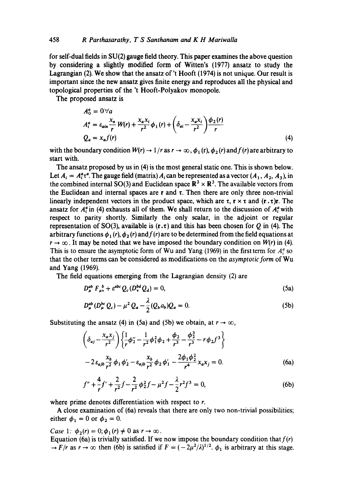for self-dual fields in SU(2) gauge field theory. This paper examines the above question by considering a slightly modified form of Witten's (1977) ansatz to study the Lagrangian (2). We show that the ansatz of't Hooft (1974) is not unique. Our result is important since the new ansatz gives finite energy and reproduces all the physical and topological properties of the 't Hooft-Polyakov monopole.

The proposed ansatz is  $\mathbb{R}^2$ 

 $\sim$ 

$$
A_0^a = 0 \forall a
$$
  
\n
$$
A_i^a = \varepsilon_{\text{ain}} \frac{x_n}{r} W(r) + \frac{x_a x_i}{r^2} \phi_1(r) + \left( \delta_{ai} - \frac{x_a x_i}{r^2} \right) \frac{\phi_2(r)}{r}
$$
  
\n
$$
Q_a = x_a f(r)
$$
\n(4)

with the boundary condition  $W(r) \to 1/r$  as  $r \to \infty$ ,  $\phi_1(r)$ ,  $\phi_2(r)$  and  $f(r)$  are arbitrary to start with.

The ansatz proposed by us in (4) is the most general static one. This is shown below. Let  $A_i = A_i^a \tau^a$ . The gauge field (matrix)  $A_i$  can be represented as a vector  $(A_1, A_2, A_3)$ , in the combined internal SO(3) and Euclidean space  $\mathbb{R}^3 \times \mathbb{R}^3$ . The available vectors from the Euclidean and internal spaces are  $r$  and  $\tau$ . Then there are only three non-trivial linearly independent vectors in the product space, which are  $\tau$ ,  $\tau \times \tau$  and  $(\tau \cdot \tau)r$ . The ansatz for  $A_i^a$  in (4) exhausts all of them. We shall return to the discussion of  $A_i^a$  with respect to parity shortly. Similarly the only scalar, in the adjoint or regular representation of SO(3), available is  $(r \cdot \tau)$  and this has been chosen for Q in (4). The arbitrary functions  $\phi_1(r)$ ,  $\phi_2(r)$  and  $f(r)$  are to be determined from the field equations at  $r \to \infty$ . It may be noted that we have imposed the boundary condition on *W(r)* in (4). This is to ensure the asymptotic form of Wu and Yang (1969) in the first term for  $A<sup>a</sup><sub>i</sub>$  so that the other terms can be considered as modifications on the *asymptotic form* of Wu and Yang (1969).

The field equations emerging from the Lagrangian density (2) are

$$
D_{\mu}^{ab} F_{\mu\nu}^{\ b} + \varepsilon^{abc} Q_c(D_{\nu}^{bd} Q_d) = 0, \qquad (5a)
$$

$$
D_{\mu}^{ab} (D_{\mu}^{bc} Q_c) - \mu^2 Q_a - \frac{\lambda}{2} (Q_b a_b) Q_a = 0.
$$
 (5b)

Substituting the ansatz (4) in (5a) and (5b) we obtain, at  $r \to \infty$ ,

$$
\left(\delta_{aj} - \frac{x_a x_j}{r^2}\right) \left\{\frac{1}{r}\phi_2'' - \frac{1}{r^2}\phi_1^2 \phi_2 + \frac{\phi_2}{r^3} - \frac{\phi_2^3}{r^3} - r\phi_2 f^3\right\}
$$
  

$$
-2\varepsilon_{ajb} \frac{x_b}{r^2} \phi_1 \phi_2' - \varepsilon_{ajb} \frac{x_b}{r^2} \phi_2 \phi_1' - \frac{2\phi_1 \phi_2^2}{r^4} x_a x_j = 0.
$$
 (6a)

$$
f'' + \frac{4}{r}f' + \frac{2}{r^2}f - \frac{2}{r^2}\phi_2^2 f - \mu^2 f - \frac{\lambda}{2}r^2 f^3 = 0,
$$
 (6b)

where prime denotes differentiation with respect to r.

A close examination of (6a) reveals that there are only two non-trivial possibilitics; either  $\phi_1 = 0$  or  $\phi_2 = 0$ .

*Case 1:*  $\phi_2(r) = 0$ ;  $\phi_1(r) \neq 0$  as  $r \to \infty$ .

Equation (6a) is trivially satisfied. If we now impose the boundary condition that  $f(r)$  $\rightarrow$  *F/r* as  $r \rightarrow \infty$  then (6b) is satisfied if  $F = (-2\mu^2/\lambda)^{1/2}$ .  $\phi_1$  is arbitrary at this stage.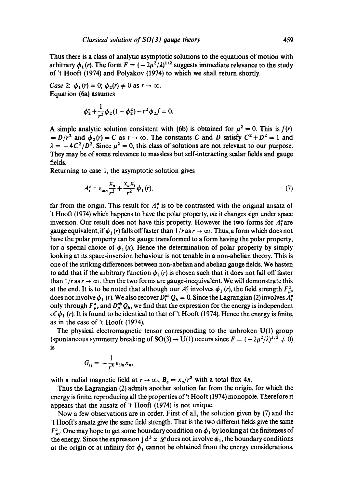Thus there is a class of analytic asymptotic solutions to the equations of motion with arbitrary  $\phi_1(r)$ . The form  $F = (-2\mu^2/\lambda)^{1/2}$  suggests immediate relevance to the study of 't Hooft (1974) and Polyakov (1974) to which we shall return shortly.

*Case* 2:  $\phi_1(r) = 0$ ;  $\phi_2(r) \neq 0$  as  $r \to \infty$ . Equation (6a) assumes

$$
\phi_2'' + \frac{1}{r^2} \phi_2 (1 - \phi_2^2) - r^2 \phi_2 f = 0.
$$

A simple analytic solution consistent with (6b) is obtained for  $\mu^2 = 0$ . This is *f(r)*  $= D/r^2$  and  $\phi_2(r) = C$  as  $r \to \infty$ . The constants C and D satisfy  $C^2 + D^2 = 1$  and  $\lambda = -4C^2/D^2$ . Since  $\mu^2 = 0$ , this class of solutions are not relevant to our purpose. They may be of some relevance to massless but self-interacting scalar fields and gauge fields.

Returning to case 1, the asymptotic solution gives

$$
A_i^a = \varepsilon_{ain} \frac{X_n}{r^2} + \frac{X_a X_i}{r^2} \phi_1(r),\tag{7}
$$

far from the origin. This result for  $A<sup>a</sup>$  is to be contrasted with the original ansatz of 't Hooft (1974) which happens to have the polar property, *viz* it changes sign under space inversion. Our result does not have this property. However the two forms for  $A_i^a$  are gauge equivalent, if  $\phi_1(r)$  falls off faster than  $1/r$  as  $r \to \infty$ . Thus, a form which does not have the polar property can be gauge transformed to a form having the polar property, for a special choice of  $\phi_1(x)$ . Hence the determination of polar property by simply looking at its space-inversion behaviour is not tenable in a non-abelian theory. This is one of the striking differences between non-abelian and abelian gauge fields. We hasten to add that if the arbitrary function  $\phi_1(r)$  is chosen such that it does not fall off faster than  $1/r$  as  $r \to \infty$ , then the two forms are gauge-inequivalent. We will demonstrate this at the end. It is to be noted that although our  $A_i^a$  involves  $\phi_1(r)$ , the field strength  $F_{av}^a$ does not involve  $\phi_1$  (r). We also recover  $D_i^{ab} Q_b = 0$ . Since the Lagrangian (2) involves  $A_i^a$ only through  $F^a_{\mu\nu}$  and  $D^{ab}_{\mu} Q_b$ , we find that the expression for the energy is independent of  $\phi_1$  (r). It is found to be identical to that of 't Hooft (1974). Hence the energy is finite, as in the case of 't Hooft (1974).

The physical electromagnetic tensor corresponding to the unbroken U(1) group (spontaneous symmetry breaking of SO(3)  $\rightarrow$  U(1) occurs since  $F = (-2\mu^2/\lambda)^{1/2} \neq 0$ ) is

$$
G_{ij}=-\frac{1}{r^3}\,\varepsilon_{ijn}\,x_n,
$$

with a radial magnetic field at  $r \to \infty$ ,  $B_a = x_a/r^3$  with a total flux  $4\pi$ .

Thus the Lagrangian (2) admits another solution far from the origin, for which the energy is finite, reproducing all the properties of't Hooft (1974) monopole. Therefore it appears that the ansatz of 't Hooft (1974) is not unique.

Now a few observations are in order. First of all, the solution given by (7) and the 't Hooft's ansatz give the same field strength. That is the two different fields give the same  $F_{\text{av}}^a$ . One may hope to get some boundary condition on  $\phi_1$  by looking at the finiteness of the energy. Since the expression  $\int d^3 x \, \mathscr{L}$  does not involve  $\phi_1$ , the boundary conditions at the origin or at infinity for  $\phi_1$  cannot be obtained from the energy considerations.